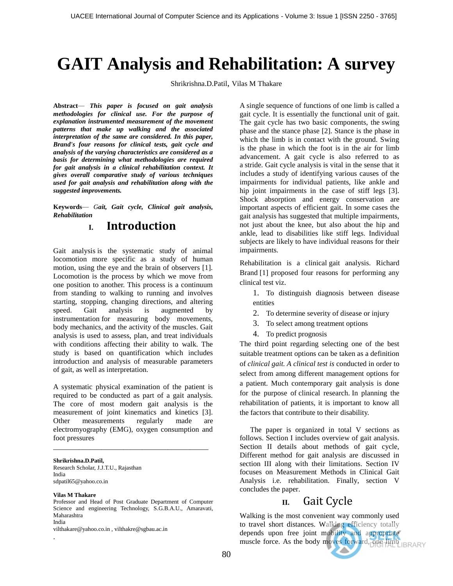# **GAIT Analysis and Rehabilitation: A survey**

Shrikrishna.D.Patil, Vilas M Thakare

**Abstract***— This paper is focused on gait analysis methodologies for clinical use. For the purpose of explanation instrumented measurement of the movement patterns that make up walking and the associated interpretation of the same are considered. In this paper, Brand's four reasons for clinical tests, gait cycle and analysis of the varying characteristics are considered as a basis for determining what methodologies are required for gait analysis in a clinical rehabilitation context. It gives overall comparative study of various techniques used for gait analysis and rehabilitation along with the suggested improvements.*

**Keywords***— Gait, Gait cycle, Clinical gait analysis, Rehabilitation*

## **I. Introduction**

Gait analysis is the systematic study of animal locomotion more specific as a study of human motion, using the eye and the brain of observers [1]. Locomotion is the process by which we move from one position to another. This process is a continuum from standing to walking to running and involves starting, stopping, changing directions, and altering speed. Gait analysis is augmented by instrumentation for measuring body movements, body mechanics, and the activity of the muscles. Gait analysis is used to assess, plan, and treat individuals with conditions affecting their ability to walk. The study is based on quantification which includes introduction and analysis of measurable parameters of gait, as well as interpretation.

A systematic physical examination of the patient is required to be conducted as part of a gait analysis. The core of most modern gait analysis is the measurement of joint kinematics and kinetics [3]. Other measurements regularly made are electromyography (EMG), oxygen consumption and foot pressures

\_\_\_\_\_\_\_\_\_\_\_\_\_\_\_\_\_\_\_\_\_\_\_\_\_\_\_\_\_\_\_\_\_\_\_\_\_\_\_\_\_\_

**Shrikrishna.D.Patil,** 

Research Scholar, J.J.T.U., Rajasthan India sdpatil65@yahoo.co.in

#### **Vilas M Thakare**

.

Professor and Head of Post Graduate Department of Computer Science and engineering Technology, S.G.B.A.U., Amaravati, Maharashtra India

vilthakare@yahoo.co.in , vilthakre@sgbau.ac.in

A single sequence of functions of one limb is called a gait cycle. It is essentially the functional unit of gait. The gait cycle has two basic components, the swing phase and the stance phase [2]. Stance is the phase in which the limb is in contact with the ground. Swing is the phase in which the foot is in the air for limb advancement. A gait cycle is also referred to as a stride. Gait cycle analysis is vital in the sense that it includes a study of identifying various causes of the impairments for individual patients, like ankle and hip joint impairments in the case of stiff legs [3]. Shock absorption and energy conservation are important aspects of efficient gait. In some cases the gait analysis has suggested that multiple impairments, not just about the knee, but also about the hip and ankle, lead to disabilities like stiff legs. Individual subjects are likely to have individual reasons for their impairments.

Rehabilitation is a clinical gait analysis. Richard Brand [1] proposed four reasons for performing any clinical test viz.

- 1. To distinguish diagnosis between disease entities
- 2. To determine severity of disease or injury
- 3. To select among treatment options
- 4. To predict prognosis

The third point regarding selecting one of the best suitable treatment options can be taken as a definition of *clinical gait. A clinical test is* conducted in order to select from among different management options for a patient. Much contemporary gait analysis is done for the purpose of clinical research. In planning the rehabilitation of patients, it is important to know all the factors that contribute to their disability.

The paper is organized in total V sections as follows. Section I includes overview of gait analysis. Section II details about methods of gait cycle, Different method for gait analysis are discussed in section III along with their limitations. Section IV focuses on Measurement Methods in Clinical Gait Analysis i.e. rehabilitation. Finally, section V concludes the paper.

### **II.** Gait Cycle

Walking is the most convenient way commonly used to travel short distances. Walking efficiency totally depends upon free joint mobility and appropriate muscle force. As the body moves forward, one limb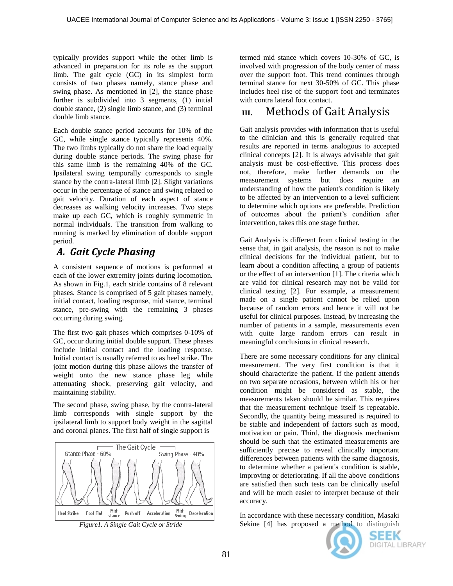typically provides support while the other limb is advanced in preparation for its role as the support limb. The gait cycle (GC) in its simplest form consists of two phases namely, stance phase and swing phase. As mentioned in [2], the stance phase further is subdivided into 3 segments, (1) initial double stance, (2) single limb stance, and (3) terminal double limb stance.

Each double stance period accounts for 10% of the GC, while single stance typically represents 40%. The two limbs typically do not share the load equally during double stance periods. The swing phase for this same limb is the remaining 40% of the GC. Ipsilateral swing temporally corresponds to single stance by the contra-lateral limb [2]. Slight variations occur in the percentage of stance and swing related to gait velocity. Duration of each aspect of stance decreases as walking velocity increases. Two steps make up each GC, which is roughly symmetric in normal individuals. The transition from walking to running is marked by elimination of double support period.

# *A. Gait Cycle Phasing*

A consistent sequence of motions is performed at each of the lower extremity joints during locomotion. As shown in Fig.1, each stride contains of 8 relevant phases. Stance is comprised of 5 gait phases namely, initial contact, loading response, mid stance, terminal stance, pre-swing with the remaining 3 phases occurring during swing.

The first two gait phases which comprises 0-10% of GC, occur during initial double support. These phases include initial contact and the loading response. Initial contact is usually referred to as heel strike. The joint motion during this phase allows the transfer of weight onto the new stance phase leg while attenuating shock, preserving gait velocity, and maintaining stability.

The second phase, swing phase, by the contra-lateral limb corresponds with single support by the ipsilateral limb to support body weight in the sagittal and coronal planes. The first half of single support is





# **III.** Methods of Gait Analysis

Gait analysis provides with information that is useful to the clinician and this is generally required that results are reported in terms analogous to accepted clinical concepts [2]. It is always advisable that gait analysis must be cost-effective. This process does not, therefore, make further demands on the measurement systems but does require an understanding of how the patient's condition is likely to be affected by an intervention to a level sufficient to determine which options are preferable. Prediction of outcomes about the patient's condition after intervention, takes this one stage further.

Gait Analysis is different from clinical testing in the sense that, in gait analysis, the reason is not to make clinical decisions for the individual patient, but to learn about a condition affecting a group of patients or the effect of an intervention [1]. The criteria which are valid for clinical research may not be valid for clinical testing [2]. For example, a measurement made on a single patient cannot be relied upon because of random errors and hence it will not be useful for clinical purposes. Instead, by increasing the number of patients in a sample, measurements even with quite large random errors can result in meaningful conclusions in clinical research.

There are some necessary conditions for any clinical measurement. The very first condition is that it should characterize the patient. If the patient attends on two separate occasions, between which his or her condition might be considered as stable, the measurements taken should be similar. This requires that the measurement technique itself is repeatable. Secondly, the quantity being measured is required to be stable and independent of factors such as mood, motivation or pain. Third, the diagnosis mechanism should be such that the estimated measurements are sufficiently precise to reveal clinically important differences between patients with the same diagnosis, to determine whether a patient's condition is stable, improving or deteriorating. If all the above conditions are satisfied then such tests can be clinically useful and will be much easier to interpret because of their accuracy.

In accordance with these necessary condition, Masaki Sekine [4] has proposed a method to distinguish



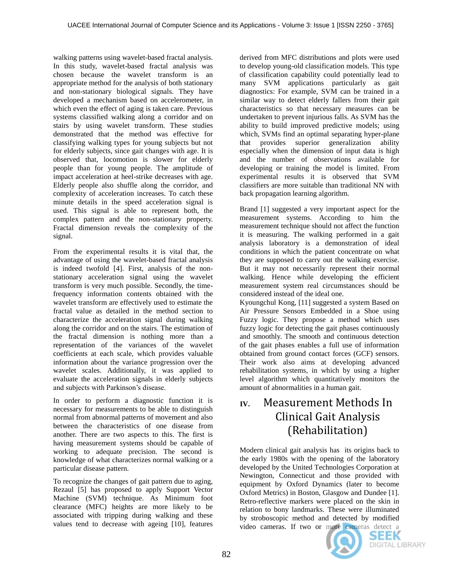walking patterns using wavelet-based fractal analysis. In this study, wavelet-based fractal analysis was chosen because the wavelet transform is an appropriate method for the analysis of both stationary and non-stationary biological signals. They have developed a mechanism based on accelerometer, in which even the effect of aging is taken care. Previous systems classified walking along a corridor and on stairs by using wavelet transform. These studies demonstrated that the method was effective for classifying walking types for young subjects but not for elderly subjects, since gait changes with age. It is observed that, locomotion is slower for elderly people than for young people. The amplitude of impact acceleration at heel-strike decreases with age. Elderly people also shuffle along the corridor, and complexity of acceleration increases. To catch these minute details in the speed acceleration signal is used. This signal is able to represent both, the complex pattern and the non-stationary property. Fractal dimension reveals the complexity of the signal.

From the experimental results it is vital that, the advantage of using the wavelet-based fractal analysis is indeed twofold [4]. First, analysis of the nonstationary acceleration signal using the wavelet transform is very much possible. Secondly, the timefrequency information contents obtained with the wavelet transform are effectively used to estimate the fractal value as detailed in the method section to characterize the acceleration signal during walking along the corridor and on the stairs. The estimation of the fractal dimension is nothing more than a representation of the variances of the wavelet coefficients at each scale, which provides valuable information about the variance progression over the wavelet scales. Additionally, it was applied to evaluate the acceleration signals in elderly subjects and subjects with Parkinson's disease.

In order to perform a diagnostic function it is necessary for measurements to be able to distinguish normal from abnormal patterns of movement and also between the characteristics of one disease from another. There are two aspects to this. The first is having measurement systems should be capable of working to adequate precision. The second is knowledge of what characterizes normal walking or a particular disease pattern.

To recognize the changes of gait pattern due to aging, Rezaul [5] has proposed to apply Support Vector Machine (SVM) technique. As Minimum foot clearance (MFC) heights are more likely to be associated with tripping during walking and these values tend to decrease with ageing [10], features derived from MFC distributions and plots were used to develop young-old classification models. This type of classification capability could potentially lead to many SVM applications particularly as gait diagnostics: For example, SVM can be trained in a similar way to detect elderly fallers from their gait characteristics so that necessary measures can be undertaken to prevent injurious falls. As SVM has the ability to build improved predictive models; using which, SVMs find an optimal separating hyper-plane that provides superior generalization ability especially when the dimension of input data is high and the number of observations available for developing or training the model is limited. From experimental results it is observed that SVM classifiers are more suitable than traditional NN with back propagation learning algorithm.

Brand [1] suggested a very important aspect for the measurement systems. According to him the measurement technique should not affect the function it is measuring. The walking performed in a gait analysis laboratory is a demonstration of ideal conditions in which the patient concentrate on what they are supposed to carry out the walking exercise. But it may not necessarily represent their normal walking. Hence while developing the efficient measurement system real circumstances should be considered instead of the ideal one.

Kyoungchul Kong, [11] suggested a system Based on Air Pressure Sensors Embedded in a Shoe using Fuzzy logic. They propose a method which uses fuzzy logic for detecting the gait phases continuously and smoothly. The smooth and continuous detection of the gait phases enables a full use of information obtained from ground contact forces (GCF) sensors. Their work also aims at developing advanced rehabilitation systems, in which by using a higher level algorithm which quantitatively monitors the amount of abnormalities in a human gait.

# **IV.** Measurement Methods In Clinical Gait Analysis (Rehabilitation)

Modern clinical gait analysis has its origins back to the early 1980s with the opening of the laboratory developed by the United Technologies Corporation at Newington, Connecticut and those provided with equipment by Oxford Dynamics (later to become Oxford Metrics) in Boston, Glasgow and Dundee [1]. Retro-reflective markers were placed on the skin in relation to bony landmarks. These were illuminated by stroboscopic method and detected by modified video cameras. If two or more cameras detect a



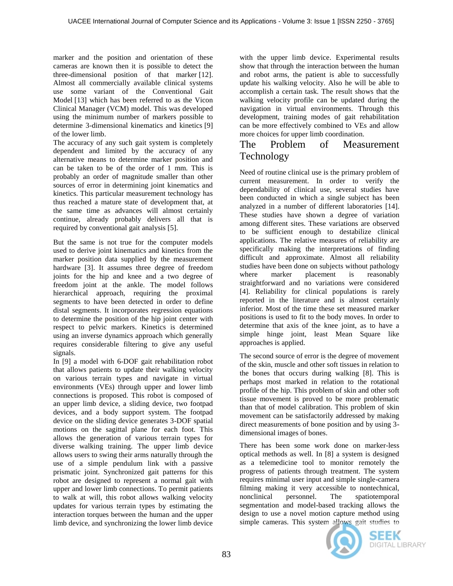marker and the position and orientation of these cameras are known then it is possible to detect the three-dimensional position of that marker [12]. Almost all commercially available clinical systems use some variant of the Conventional Gait Model [13] which has been referred to as the Vicon Clinical Manager (VCM) model. This was developed using the minimum number of markers possible to determine 3-dimensional kinematics and kinetics [9] of the lower limb.

The accuracy of any such gait system is completely dependent and limited by the accuracy of any alternative means to determine marker position and can be taken to be of the order of 1 mm. This is probably an order of magnitude smaller than other sources of error in determining joint kinematics and kinetics. This particular measurement technology has thus reached a mature state of development that, at the same time as advances will almost certainly continue, already probably delivers all that is required by conventional gait analysis [5].

But the same is not true for the computer models used to derive joint kinematics and kinetics from the marker position data supplied by the measurement hardware [3]. It assumes three degree of freedom joints for the hip and knee and a two degree of freedom joint at the ankle. The model follows hierarchical approach, requiring the proximal segments to have been detected in order to define distal segments. It incorporates regression equations to determine the position of the hip joint center with respect to pelvic markers. Kinetics is determined using an inverse dynamics approach which generally requires considerable filtering to give any useful signals.

In [9] a model with 6-DOF gait rehabilitation robot that allows patients to update their walking velocity on various terrain types and navigate in virtual environments (VEs) through upper and lower limb connections is proposed. This robot is composed of an upper limb device, a sliding device, two footpad devices, and a body support system. The footpad device on the sliding device generates 3-DOF spatial motions on the sagittal plane for each foot. This allows the generation of various terrain types for diverse walking training. The upper limb device allows users to swing their arms naturally through the use of a simple pendulum link with a passive prismatic joint. Synchronized gait patterns for this robot are designed to represent a normal gait with upper and lower limb connections. To permit patients to walk at will, this robot allows walking velocity updates for various terrain types by estimating the interaction torques between the human and the upper limb device, and synchronizing the lower limb device with the upper limb device. Experimental results show that through the interaction between the human and robot arms, the patient is able to successfully update his walking velocity. Also he will be able to accomplish a certain task. The result shows that the walking velocity profile can be updated during the navigation in virtual environments. Through this development, training modes of gait rehabilitation can be more effectively combined to VEs and allow more choices for upper limb coordination.

### The Problem of Measurement Technology

Need of routine clinical use is the primary problem of current measurement. In order to verify the dependability of clinical use, several studies have been conducted in which a single subject has been analyzed in a number of different laboratories [14]. These studies have shown a degree of variation among different sites. These variations are observed to be sufficient enough to destabilize clinical applications. The relative measures of reliability are specifically making the interpretations of finding difficult and approximate. Almost all reliability studies have been done on subjects without pathology where marker placement is reasonably straightforward and no variations were considered [4]. Reliability for clinical populations is rarely reported in the literature and is almost certainly inferior. Most of the time these set measured marker positions is used to fit to the body moves. In order to determine that axis of the knee joint, as to have a simple hinge joint, least Mean Square like approaches is applied.

The second source of error is the degree of movement of the skin, muscle and other soft tissues in relation to the bones that occurs during walking [8]. This is perhaps most marked in relation to the rotational profile of the hip. This problem of skin and other soft tissue movement is proved to be more problematic than that of model calibration. This problem of skin movement can be satisfactorily addressed by making direct measurements of bone position and by using 3 dimensional images of bones.

There has been some work done on marker-less optical methods as well. In [8] a system is designed as a telemedicine tool to monitor remotely the progress of patients through treatment. The system requires minimal user input and simple single-camera filming making it very accessible to nontechnical, nonclinical personnel. The spatiotemporal segmentation and model-based tracking allows the design to use a novel motion capture method using simple cameras. This system allows gait studies to